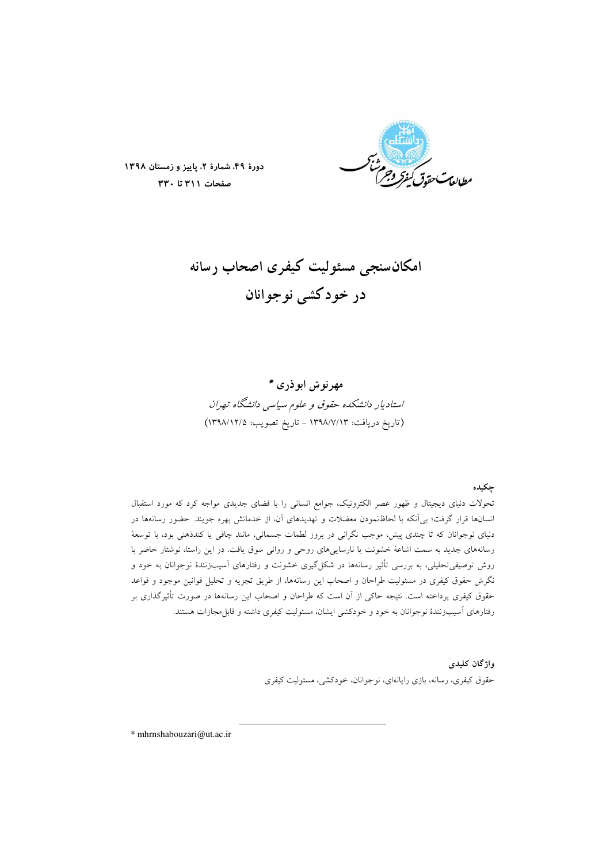

دورة ۴۹، شمارة ٢، پاییز و زمستان ١٣٩٨ صفحات ٣١١ تا ٣٣٠

امکان سنجی مسئولیت کیفری اصحاب رسانه در خودکشی نوجوانان

# مهرنوش ابوذري \* استادیار دانشکده حقوق و علوم سیاسی دانشگاه تهران

(تاريخ دريافت: ١٣٩٨/٧/١٣ - تاريخ تصويب: ١٣٩٨/١٢/٥)

### جكيده

تحولات دنیای دیجیتال و ظهور عصر الکترونیک، جوامع انسانی را با فضای جدیدی مواجه کرد که مورد استقبال انسانها قرار گرفت؛ بی آنکه با لحاظنمودن معضلات و تهدیدهای آن، از خدماتش بهره جویند. حضور رسانهها در دنیای نوجوانان که تا چندی پیش، موجب نگرانی در بروز لطمات جسمانی، مانند چاقی یا کندذهنی بود، با توسعهٔ رسانههای جدید به سمت اشاعهٔ خشونت یا نارساییهای روحی و روانی سوق یافت. در این راستا، نوشتار حاضر با روش توصیفیتحلیلی، به بررسی تأثیر رسانهها در شکل گیری خشونت و رفتارهای آسیبزنندهٔ نوجوانان به خود و نگرش حقوق کیفری در مسئولیت طراحان و اصحاب این رسانهها، از طریق تجزیه و تحلیل قوانین موجود و قواعد حقوق کیفری پرداخته است. نتیجه حاکی از آن است که طراحان و اصحاب این رسانهها در صورت تأثیرگذاری بر رفتارهای اَسیبزنندهٔ نوجوانان به خود و خودکشی ایشان، مسئولیت کیفری داشته و قابل مجازات هستند.

> واژگان کلیدی حقوق کیفری، رسانه، بازی رایانهای، نوجوانان، خودکشی، مسئولیت کیفری

\* mhrnshabouzari@ut.ac.ir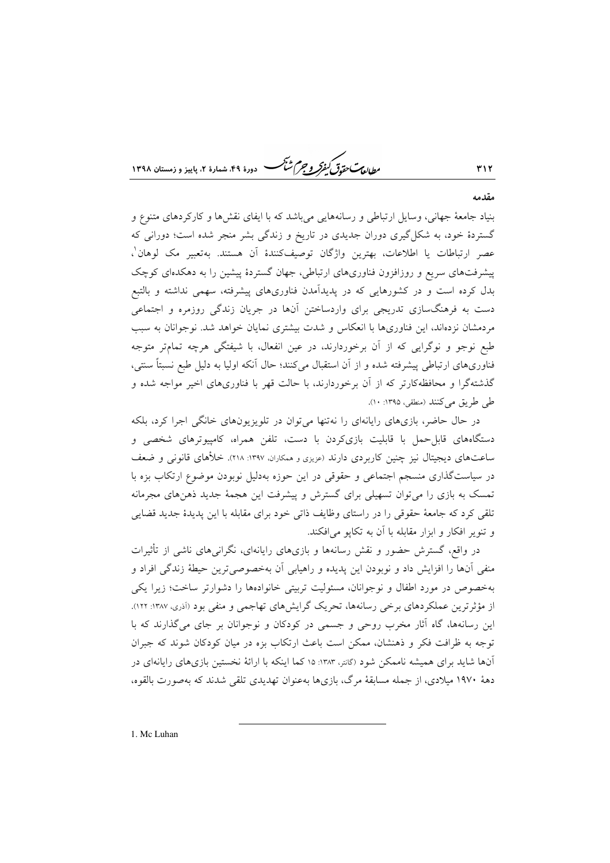*طالعات حقوق كيفركو جرم شبك* -<br>- دورهٔ ۴۹، شمارهٔ ۲، بابیز و زمستان ۱۳۹۸

### مقدمه

 $Y \cup Y$ 

بنیاد جامعهٔ جهانی، وسایل ارتباطی و رسانههایی میباشد که با ایفای نقشها و کارکردهای متنوع و گستردهٔ خود، به شکل گیری دوران جدیدی در تاریخ و زندگی بشر منجر شده است؛ دورانی که عصر ارتباطات یا اطلاعات، بهترین واژگان توصیفکنندهٔ اَن هستند. بهتعبیر مک لوهان ٰ، پیشرفتهای سریع و روزافزون فناوریهای ارتباطی، جهان گستردهٔ پیشین را به دهکدهای کوچک بدل کرده است و در کشورهایی که در پدیدآمدن فناوریهای پیشرفته، سهمی نداشته و بالتبع دست به فرهنگسازی تدریجی برای واردساختن آنها در جریان زندگی روزمره و اجتماعی مردمشان نزدهاند، این فناوریها با انعکاس و شدت بیشتری نمایان خواهد شد. نوجوانان به سبب طبع نوجو و نوگرایی که از آن برخوردارند، در عین انفعال، با شیفتگی هرچه تمامتر متوجه فناوریهای ارتباطی پیشرفته شده و از آن استقبال میکنند؛ حال آنکه اولیا به دلیل طبع نسبتاً سنتی، گذشتهگرا و محافظهکارتر که از آن برخوردارند، با حالت قهر با فناوریهای اخیر مواجه شده و طی طریق می کنند (منطقی، ۱۳۹۵: ۱۰).

در حال حاضر، بازیهای رایانهای را نهتنها میتوان در تلویزیونهای خانگی اجرا کرد، بلکه دستگاههای قابلِ حمل با قابلیت بازیکردن با دست، تلفن همراه، کامپیوترهای شخصی و ساعتهای دیجیتال نیز چنین کاربردی دارند (عزیزی و همکاران، ۱۳۹۷: ۲۱۸). خلأهای قانونی و ضعف در سیاستگذاری منسجم اجتماعی و حقوقی در این حوزه بهدلیل نوبودن موضوع ارتکاب بزه با تمسک به بازی را میتوان تسهیلی برای گسترش و پیشرفت این هجمهٔ جدید ذهنهای مجرمانه تلقی کرد که جامعهٔ حقوقی را در راستای وظایف ذاتی خود برای مقابله با این پدیدهٔ جدید قضایی و تنویر افکار و ابزار مقابله با آن به تکاپو می افکند.

در واقع، گسترش حضور و نقش رسانهها و بازیهای رایانهای، نگرانیهای ناشی از تأثیرات منفی آنها را افزایش داد و نوبودن این پدیده و راهیابی آن بهخصوصیترین حیطهٔ زندگی افراد و بهخصوص در مورد اطفال و نوجوانان، مسئولیت تربیتی خانوادهها را دشوارتر ساخت؛ زیرا یکی از مؤثرترین عملکردهای برخی رسانهها، تحریک گرایشهای تهاجمی و منفی بود (آذری، ۱۳۸۷: ۱۲۲). این رسانهها، گاه آثار مخرب روحی و جسمی در کودکان و نوجوانان بر جای می گذارند که با توجه به ظرافت فکر و ذهنشان، ممکن است باعث ارتکاب بزه در میان کودکان شوند که جبران آنها شاید برای همیشه ناممکن شود (گانتر، ۱۳۸۳: ۱۵ کما اینکه با ارائهٔ نخستین بازیهای رایانهای در دههٔ ۱۹۷۰ میلادی، از جمله مسابقهٔ مرگ، بازیها بهعنوان تهدیدی تلقی شدند که بهصورت بالقوه،

1. Mc Luhan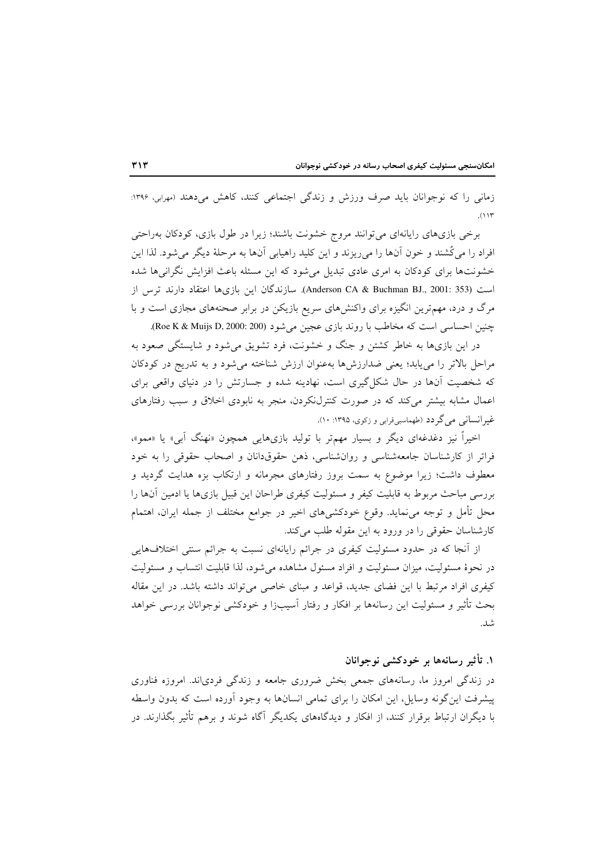زمانی را که نوجوانان باید صرف ورزش و زندگی اجتماعی کنند، کاهش میدهند (مهرابی، ۱۳۹۶:  $(115)$ 

برخی بازیهای رایانهای میتوانند مروج خشونت باشند؛ زیرا در طول بازی، کودکان بهراحتی افراد را می کُشند و خون آنها را می ریزند و این کلید راهیابی آنها به مرحلهٔ دیگر می شود. لذا این خشونتها برای کودکان به امری عادی تبدیل میشود که این مسئله باعث افزایش نگرانیها شده است (Anderson CA & Buchman BJ., 2001: 353). سازندگان این بازیها اعتقاد دارند ترس از مرگ و درد، مهمترین انگیزه برای واکنشهای سریع بازیکن در برابر صحنههای مجازی است و با چنین احساسی است که مخاطب با روند بازی عجین می شود (Roe K & Muijs D, 2000: 200).

در این بازیها به خاطر کشتن و جنگ و خشونت، فرد تشویق می شود و شایستگی صعود به مراحل بالاتر را مي يابد؛ يعني ضدارزشها بهعنوان ارزش شناخته مي شود و به تدريج در كودكان که شخصیت آنها در حال شکل گیری است، نهادینه شده و جسارتش را در دنیای واقعی برای اعمال مشابه بیشتر می کند که در صورت کنترلنکردن، منجر به نابودی اخلاق و سبب رفتارهای غیرانسانی میگردد (طهماسبهقرابی و زکوی، ۱۳۹۵: ۱۰).

اخیراً نیز دغدغهای دیگر و بسیار مهمتر با تولید بازیهایی همچون «نهنگ آبی» یا «ممو»، فراتر از کارشناسان جامعهشناسی و روانشناسی، ذهن حقوقدانان و اصحاب حقوقی را به خود معطوف داشت؛ زیرا موضوع به سمت بروز رفتارهای مجرمانه و ارتکاب بزه هدایت گردید و بررسی مباحث مربوط به قابلیت کیفر و مسئولیت کیفری طراحان این قبیل بازیها یا ادمین آنها را محل تأمل و توجه می،نماید. وقوع خودکشیهای اخیر در جوامع مختلف از جمله ایران، اهتمام كارشناسان حقوقي را در ورود به اين مقوله طلب مي كند.

از آنجا که در حدود مسئولیت کیفری در جرائم رایانهای نسبت به جرائم سنتی اختلافهایی در نحوهٔ مسئولیت، میزان مسئولیت و افراد مسئول مشاهده می شود، لذا قابلیت انتساب و مسئولیت كيفري افراد مرتبط با اين فضاي جديد، قواعد و مبناي خاصي مي تواند داشته باشد. در اين مقاله بحث تأثير و مسئوليت اين رسانهها بر افكار و رفتار آسيبزا و خودكشي نوجوانان بررسي خواهد .<br>شد.

### ۱. تأثیر رسانهها بر خودکشی نوجوانان

در زندگی امروز ما، رسانههای جمعی بخش ضروری جامعه و زندگی فردیاند. امروزه فناوری پیشرفت این گونه وسایل، این امکان را برای تمامی انسانها به وجود آورده است که بدون واسطه با دیگران ارتباط برقرار کنند، از افکار و دیدگاههای یکدیگر آگاه شوند و برهم تأثیر بگذارند. در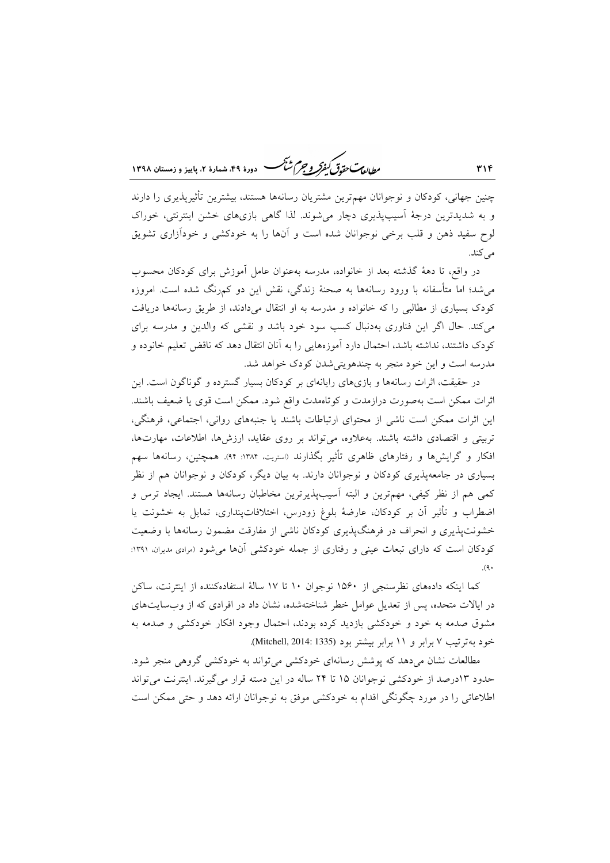ر ...<br>روای**دست حقدتی کنفرکر و جرم شنگ** ده ده ۴۹، شعارهٔ ۲، ماییز و ذمستان ۱۳۹۸

چنین جهانی، کودکان و نوجوانان مهمترین مشتریان رسانهها هستند، بیشترین تأثیریذیری را دارند و به شدیدترین درجهٔ آسیبپذیری دچار میشوند. لذا گاهی بازیهای خشن اینترنتی، خوراک لوح سفید ذهن و قلب برخی نوجوانان شده است و آنها را به خودکشی و خودآزاری تشویق مى كند.

در واقع، تا دههٔ گذشته بعد از خانواده، مدرسه بهعنوان عامل آموزش برای کودکان محسوب می شد؛ اما متأسفانه با ورود رسانهها به صحنهٔ زندگی، نقش این دو کمرنگ شده است. امروزه کودک بسیاری از مطالبی را که خانواده و مدرسه به او انتقال می دادند، از طریق رسانهها دریافت می کند. حال اگر این فناوری بهدنبال کسب سود خود باشد و نقشی که والدین و مدرسه برای کودک داشتند، نداشته باشد، احتمال دارد آموزههایی را به آنان انتقال دهد که ناقض تعلیم خانوده و مدرسه است و این خود منجر به چندهویتی شدن کودک خواهد شد.

در حقیقت، اثرات رسانهها و بازیهای رایانهای بر کودکان بسیار گسترده و گوناگون است. این اثرات ممكن است بهصورت درازمدت و كوتاممدت واقع شود. ممكن است قوى يا ضعيف باشند. این اثرات ممکن است ناشی از محتوای ارتباطات باشند یا جنبههای روانی، اجتماعی، فرهنگی، تربیتی و اقتصادی داشته باشند. به علاوه، می تواند بر روی عقاید، ارزشها، اطلاعات، مهارتها، افکار و گرایش ها و رفتارهای ظاهری تأثیر بگذارند (استریت ۱۳۸۴: ۹۴). همچنین، رسانهها سهم بسیاری در جامعهپذیری کودکان و نوجوانان دارند. به بیان دیگر، کودکان و نوجوانان هم از نظر كمي هم از نظر كيفي، مهمترين و البته اَسيبپذيرترين مخاطبان رسانهها هستند. ايجاد ترس و اضطراب و تأثير آن بر كودكان، عارضهٔ بلوغ زودرس، اختلافاتپنداری، تمايل به خشونت يا خشونت یذیری و انحراف در فرهنگ یذیری کودکان ناشی از مفارقت مضمون رسانهها با وضعیت کودکان است که دارای تبعات عینی و رفتاری از جمله خودکشی آنها میشود (مرادی مدیران، ۱۳۹۱:  $(9)$ 

کما اینکه دادههای نظرسنجی از ۱۵۶۰ نوجوان ۱۰ تا ۱۷ سالهٔ استفادهکننده از اینترنت، ساکن در ایالات متحده، پس از تعدیل عوامل خطر شناختهشده، نشان داد در افرادی که از وبسایتهای مشوق صدمه به خود و خودکشی بازدید کرده بودند، احتمال وجود افکار خودکشی و صدمه به خود بهترتيب ٧ برابر و ١١ برابر بيشتر بود (Mitchell, 2014: 1335).

مطالعات نشان می دهد که پوشش رسانهای خودکشی می تواند به خودکشی گروهی منجر شود. حدود ١٣درصد از خودکشی نوجوانان ١۵ تا ٢۴ ساله در این دسته قرار می گیرند. اینترنت می تواند اطلاعاتی را در مورد چگونگی اقدام به خودکشی موفق به نوجوانان ارائه دهد و حتی ممکن است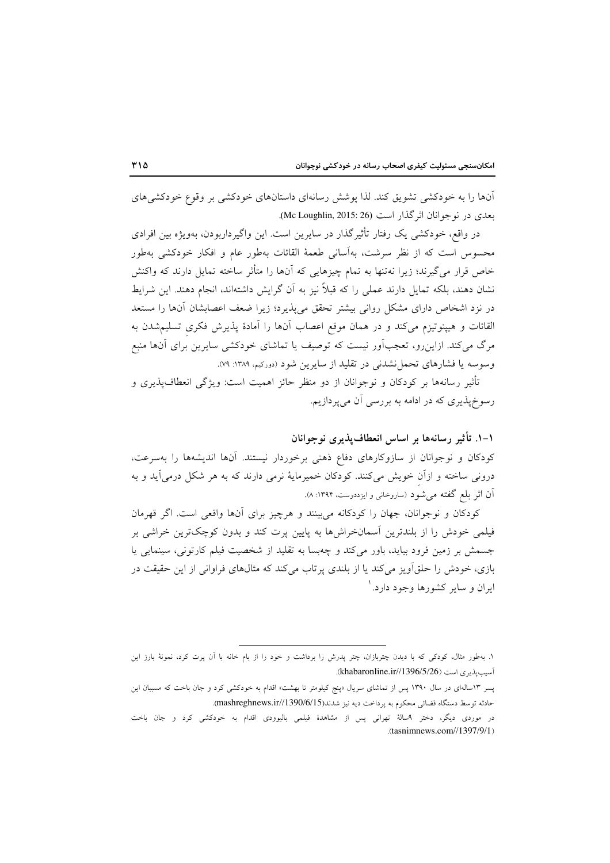آنها را به خودکشی تشویق کند. لذا پوشش رسانهای داستانهای خودکشی بر وقوع خودکشی های بعدي در نوجوانان اثرگذار است (Mc Loughlin, 2015: 26).

در واقع، خودکشی یک رفتار تأثیرگذار در سایرین است. این واگیرداربودن، بهویژه بین افرادی محسوس است که از نظر سرشت، بهآسانی طعمهٔ القائات بهطور عام و افکار خودکشی بهطور خاص قرار میگیرند؛ زیرا نهتنها به تمام چیزهایی که آنها را متأثر ساخته تمایل دارند که واکنش نشان دهند، بلکه تمایل دارند عملی را که قبلاً نیز به آن گرایش داشتهاند، انجام دهند. این شرایط در نزد اشخاص دارای مشکل روانی بیشتر تحقق می پذیرد؛ زیرا ضعف اعصابشان آنها را مستعد القائات و هیپنوتیزم میکند و در همان موقع اعصاب آنها را آمادهٔ پذیرش فکری تسلیمشدن به مرگ می کند. ازاین رو، تعجبآور نیست که توصیف یا تماشای خودکشی سایرین برای آنها منبع وسوسه یا فشارهای تحمل نشدنی در تقلید از سایرین شود (دورکیم، ۱۳۸۹: ۷۹).

تأثیر رسانهها بر کودکان و نوجوانان از دو منظر حائز اهمیت است: ویژگی انعطاف پذیری و رسوخپذیری که در ادامه به بررسی آن می پردازیم.

#### ١-١. تأثير رسانهها بر اساس انعطاف يذيري نوجوانان

کودکان و نوجوانان از سازوکارهای دفاع ذهنی برخوردار نیستند. آنها اندیشهها را بهسرعت، درونی ساخته و ازآن خویش می کنند. کودکان خمیرمایهٔ نرمی دارند که به هر شکل درمی آید و به آن اثر بلع گفته می شود (ساروخانی و ایزددوست، ۱۳۹۴: ۸).

کودکان و نوجوانان، جهان را کودکانه می بینند و هرچیز برای آنها واقعی است. اگر قهرمان فیلمی خودش را از بلندترین آسمانخراشها به پایین پرت کند و بدون کوچکترین خراشی بر جسمش بر زمین فرود بیاید، باور میکند و چهبسا به تقلید از شخصیت فیلم کارتونی، سینمایی یا بازی، خودش را حلقآویز میکند یا از بلندی پرتاب میکند که مثالهای فراوانی از این حقیقت در ايران و ساير كشورها وجود دارد. `

۱. بهطور مثال، کودکی که با دیدن چتربازان، چتر پدرش را برداشت و خود را از بام خانه با آن پرت کرد، نمونهٔ بارز این آسیب یذیری است (khabaronline.ir//1396/5/26).

پسر ۱۳سالهای در سال ۱۳۹۰ پس از تماشای سریال «پنج کیلومتر تا بهشت» اقدام به خودکشی کرد و جان باخت که مسببان این حادثه توسط دستگاه قضائي محكوم به يرداخت ديه نيز شدند(15/6/1390/6/15). mashreghnews.ir/

در موردی دیگر، دختر ۹سالهٔ تهرانی پس از مشاهدهٔ فیلمی بالیوودی اقدام به خودکشی کرد و جان باخت .(tasnimnews.com//1397/9/1)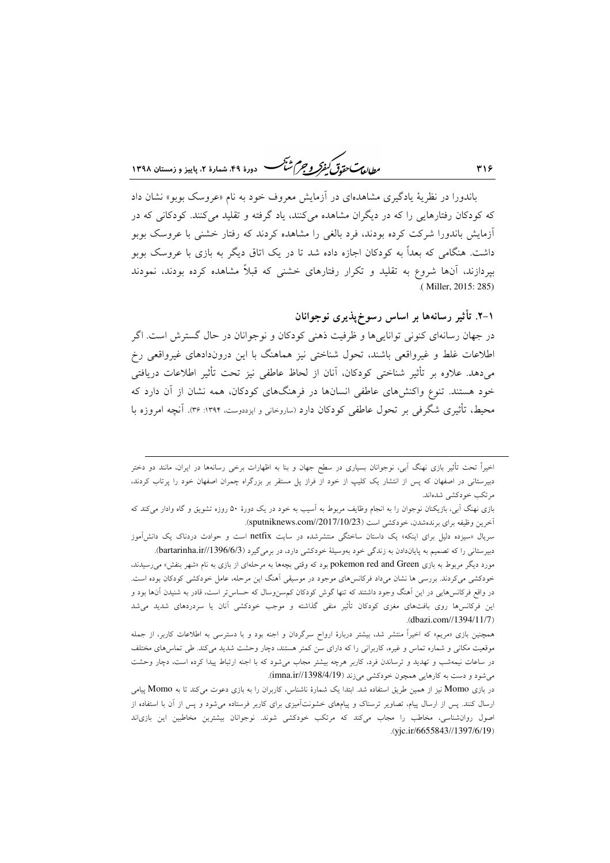مطال<del>یات م</del>قو<del>قی کفرکر و جرم شک</del>ر دورهٔ ۴۹، شعارهٔ ۲، پاییز و زمستان ۱۳۹۸

باندورا در نظریهٔ یادگیری مشاهدهای در آزمایش معروف خود به نام «عروسک بوبو» نشان داد که کودکان رفتارهایی را که در دیگران مشاهده میکنند، یاد گرفته و تقلید میکنند. کودکانی که در آزمایش باندورا شرکت کرده بودند، فرد بالغی را مشاهده کردند که رفتار خشنبی با عروسک بوبو داشت. هنگامی که بعداً به کودکان اجازه داده شد تا در یک اتاق دیگر به بازی با عروسک بوبو بپردازند، آنها شروع به تقلید و تکرار رفتارهای خشنی که قبلاً مشاهده کرده بودند، نمودند (Miller, 2015: 285)

۱–۲. تأثیر رسانهها بر اساس رسوخپذیری نوجوانان

در جهان رسانهای کنونی تواناییها و ظرفیت ذهنی کودکان و نوجوانان در حال گسترش است. اگر اطلاعات غلط و غیرواقعی باشند، تحول شناختی نیز هماهنگ با این دروندادهای غیرواقعی رخ مى،دهد. علاوه بر تأثير شناختى كودكان، آنان از لحاظ عاطفى نيز تحت تأثير اطلاعات دريافتى خود هستند. تنوع واکنشهای عاطفی انسانها در فرهنگهای کودکان، همه نشان از آن دارد که محیط، تأثیری شگرفی بر تحول عاطفی کودکان دارد (ساروخانی و ایزددوست، ۱۳۹۴: ۳۶). آنچه امروزه با

مورد دیگر مربوط به بازی pokemon red and Green بود که وقتی بچهها به مرحلهای از بازی به نام «شهر بنفش» می رسیدند. خودکشی میکردند. بررسی ها نشان میداد فرکانسهای موجود در موسیقی اَهنگ این مرحله، عامل خودکشی کودکان بوده است. در واقع فرکانسهایی در این اَهنگ وجود داشتند که تنها گوش کودکان کم سنوسال که حساس تر است، قادر به شنیدن اَنها بود و این فرکانسها روی بافتهای مغزی کودکان تأثیر منفی گذاشته و موجب خودکشی آنان یا سردردهای شدید میشد .(dbazi.com//1394/11/7)

همچنین بازی «مریم» که اخیراً منتشر شد، بیشتر دربارهٔ ارواح سرگردان و اجنه بود و با دسترسی به اطلاعات کاربر، از جمله موقعیت مکانی و شماره تماس و غیره، کاربرانی را که دارای سن کمتر هستند، دچار وحشت شدید میکند. طی تماس های مختلف در ساعات نیمهشب و تهدید و ترساندن فرد، کاربر هرچه بیشتر مجاب میشود که با اجنه ارتباط پیدا کرده است، دچار وحشت میشود و دست به کارهایی همچون خودکشی میزند (imna.ir//1398/4/19).

در بازی Momo نیز از همین طریق استفاده شد. ابتدا یک شمارهٔ ناشناس، کاربران را به بازی دعوت میکند تا به Momo پیامی ارسال کنند. پس از ارسال پیام، تصاویر ترسناک و پیامهای خشونتآمیزی برای کاربر فرستاده میشود و پس از آن با استفاده از اصول روانشناسی، مخاطب را مجاب میکند که مرتکب خودکشی شوند. نوجوانان بیشترین مخاطبین این بازیاند (yjc.ir/6655843//1397/6/19)

اخیراً تحت تأثیر بازی نهنگ آبی، نوجوانان بسیاری در سطح جهان و بنا به اظهارات برخی رسانهها در ایران، مانند دو دختر دبیرستانی در اصفهان که پس از انتشار یک کلیپ از خود از فراز پل مستقر بر بزرگراه چمران اصفهان خود را پرتاب کردند، مرتكب خودكشي شدهاند.

بازی نهنگ اَبی، بازیکنان نوجوان را به انجام وظایف مربوط به اَسیب به خود در یک دورهٔ ۵۰ روزه تشویق و گاه وادار میکند که آخرين وظيفه براي بوندهشدن، خودكشي است (sputniknews.com//2017/10/23).

سریال «سیزده دلیل برای اینکه» یک داستان ساختگی منتشرشده در سایت netfix است و حوادث دردناک یک دانش آموز دبیرستانی را که تصمیم به پایاندادن به زندگی خود بهوسیلهٔ خودکشی دارد، در برمیگیرد (bartarinha.ir//1396/6/3).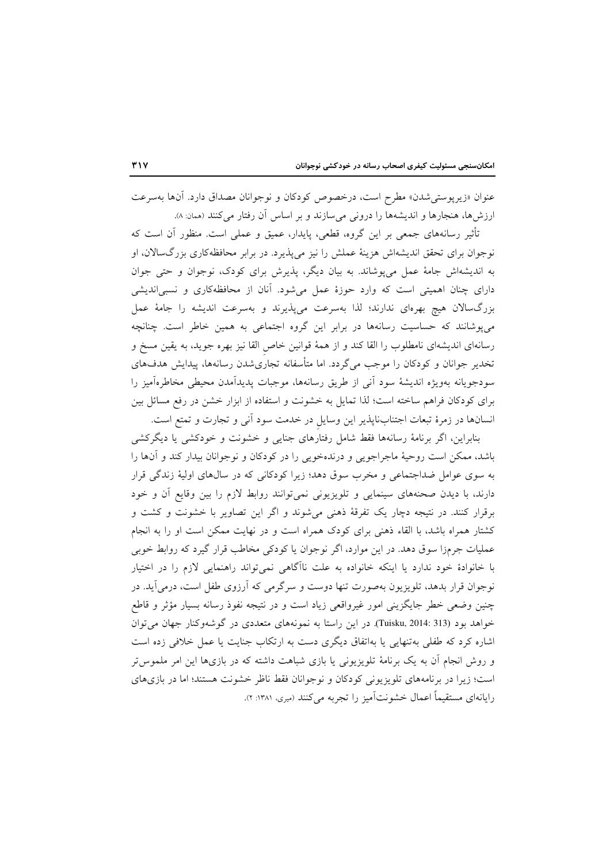عنوان «زير پوستي شدن» مطرح است، درخصوص كودكان و نوجوانان مصداق دارد. آنها بهسرعت ارزش۵ما، هنجارها و اندیشهها را درونی میسازند و بر اساس آن رفتار میکنند (ممان ۸).

تأثیر رسانههای جمعی بر این گروه، قطعی، پایدار، عمیق و عملی است. منظور آن است که نوجوان برای تحقق اندیشهاش هزینهٔ عملش را نیز می پذیرد. در برابر محافظهکاری بزرگ سالان، او به اندیشهاش جامهٔ عمل میپوشاند. به بیان دیگر، پذیرش برای کودک، نوجوان و حتی جوان دارای چنان اهمیتی است که وارد حوزهٔ عمل میشود. آنان از محافظهکاری و نسبی|ندیشی بزرگسالان هیچ بهرمای ندارند؛ لذا بهسرعت میپذیرند و بهسرعت اندیشه را جامهٔ عمل میپوشانند که حساسیت رسانهها در برابر این گروه اجتماعی به همین خاطر است. چنانچه رسانهای اندیشهای نامطلوب را القا کند و از همهٔ قوانین خاص القا نیز بهره جوید، به یقین مسخ و تخدیر جوانان و کودکان را موجب میگردد. اما متأسفانه تجاریشدن رسانهها، پیدایش هدفهای سودجويانه بهويژه انديشة سود آنى از طريق رسانهها، موجبات پديدآمدن محيطى مخاطرهآميز را برای کودکان فراهم ساخته است؛ لذا تمایل به خشونت و استفاده از ابزار خشن در رفع مسائل بین انسانها در زمرهٔ تبعات اجتنابناپذیر این وسایل در خدمت سود آنی و تجارت و تمتع است.

بنابراین، اگر برنامهٔ رسانهها فقط شامل رفتارهای جنایی و خشونت و خودکشی یا دیگرکشی باشد، ممکن است روحیهٔ ماجراجویی و درندهخویی را در کودکان و نوجوانان بیدار کند و آنها را به سوی عوامل ضداجتماعی و مخرب سوق دهد؛ زیرا کودکانی که در سال های اولیهٔ زندگی قرار دارند، با دیدن صحنههای سینمایی و تلویزیونی نمیتوانند روابط لازم را بین وقایع آن و خود برقرار کنند. در نتیجه دچار یک تفرقهٔ ذهنی می شوند و اگر این تصاویر با خشونت و کشت و کشتار همراه باشد، با القاء ذهنی برای کودک همراه است و در نهایت ممکن است او را به انجام عملیات جرمزا سوق دهد. در این موارد، اگر نوجوان یا کودکی مخاطب قرار گیرد که روابط خوبی با خانوادهٔ خود ندارد یا اینکه خانواده به علت ناآگاهی نمیتواند راهنمایی لازم را در اختیار نوجوان قرار بدهد، تلویزیون بهصورت تنها دوست و سرگرمی که آرزوی طفل است، درمی[ید. در چنین وضعی خطر جایگزینی امور غیرواقعی زیاد است و در نتیجه نفوذ رسانه بسیار مؤثر و قاطع خواهد بود (Tuisku, 2014: 313). در این راستا به نمونههای متعددی در گوشهوکنار جهان می توان اشاره کرد که طفلی بهتنهایی یا بهاتفاق دیگری دست به ارتکاب جنایت یا عمل خلافی زده است و روش انجام آن به یک برنامهٔ تلویزیونی یا بازی شباهت داشته که در بازیها این امر ملموس تر است؛ زیرا در برنامههای تلویزیونی کودکان و نوجوانان فقط ناظر خشونت هستند؛ اما در بازیهای رایانهای مستقیماً اعمال خشونتآمیز را تجربه می کنند (میری، ۱۳۸۱: ۲).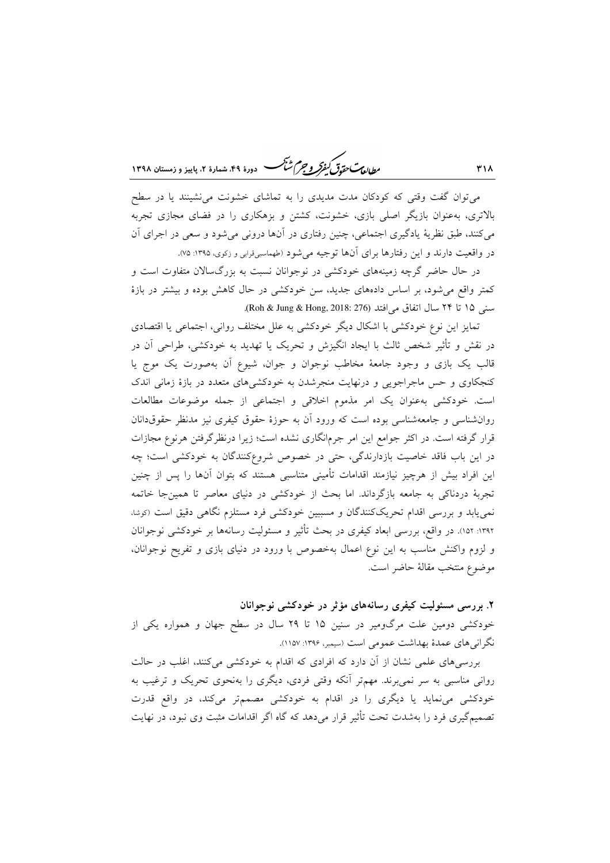ر .<br>مطالعات متحقق *کفوکر و جرم شنگ* دورهٔ ۴۹، شمارهٔ ۲، پاییز و زمستان ۱۳۹۸

می توان گفت وقتی که کودکان مدت مدیدی را به تماشای خشونت می نشینند یا در سطح بالاتری، بهعنوان بازیگر اصلی بازی، خشونت، کشتن و بزهکاری را در فضای مجازی تجربه می کنند، طبق نظریهٔ یادگیری اجتماعی، چنین رفتاری در آنها درونی می شود و سعی در اجرای آن در واقعیت دارند و این رفتارها برای آنها توجیه می شود (طهماسبیقرابی و زکوی، ۱۳۹۵: ۷۵).

در حال حاضر گرچه زمینههای خودکشی در نوجوانان نسبت به بزرگسالان متفاوت است و کمتر واقع می شود، بر اساس دادههای جدید، سن خودکشی در حال کاهش بوده و بیشتر در بازهٔ سني 10 تا ٢۴ سال اتفاق مي افتد (276 :Roh & Jung & Hong, 2018).

تمایز این نوع خودکشی با اشکال دیگر خودکشی به علل مختلف روانی، اجتماعی یا اقتصادی در نقش و تأثیر شخص ثالث با ایجاد انگیزش و تحریک یا تهدید به خودکشی، طراحی آن در قالب یک بازی و وجود جامعهٔ مخاطب نوجوان و جوان، شیوع آن بهصورت یک موج یا کنجکاوی و حس ماجراجویی و درنهایت منجرشدن به خودکشیهای متعدد در بازهٔ زمانی اندک است. خودکشی بهعنوان یک امر مذموم اخلاقی و اجتماعی از جمله موضوعات مطالعات روان شناسی و جامعه شناسی بوده است که ورود آن به حوزهٔ حقوق کیفری نیز مدنظر حقوق دانان قرار گرفته است. در اکثر جوامع این امر جرمانگاری نشده است؛ زیرا درنظرگرفتن هرنوع مجازات در این باب فاقد خاصیت بازدارندگی، حتی در خصوص شروعکنندگان به خودکشی است؛ چه این افراد بیش از هرچیز نیازمند اقدامات تأمینی متناسبی هستند که بتوان آنها را پس از چنین تجربهٔ دردناکی به جامعه بازگرداند. اما بحث از خودکشی در دنیای معاصر تا همین جا خاتمه نمی یابد و بررسی اقدام تحریککنندگان و مسببین خودکشی فرد مستلزم نگاهی دقیق است (کوشا، ۱۳۹۲: ۱۵۲). در واقع، بررسی ابعاد کیفری در بحث تأثیر و مسئولیت رسانهها بر خودکشی نوجوانان و لزوم واكنش مناسب به اين نوع اعمال بهخصوص با ورود در دنياى بازى و تفريح نوجوانان، موضوع منتخب مقالة حاضر است.

۲. بررسی مسئولیت کیفری رسانههای مؤثر در خودکشی نوجوانان خودکشی دومین علت مرگومیر در سنین ۱۵ تا ۲۹ سال در سطح جهان و همواره یکی از نگرانی۵مای عمدهٔ بهداشت عمومی است (سیمبر، ۱۳۹۶: ۱۱۵۷).

بررسیهای علمی نشان از آن دارد که افرادی که اقدام به خودکشی میکنند، اغلب در حالت روانی مناسبی به سر نمی برند. مهمتر آنکه وقتی فردی، دیگری را بهنحوی تحریک و ترغیب به خودکشی می نماید یا دیگری را در اقدام به خودکشی مصممتر میکند، در واقع قدرت تصمیمگیری فرد را بهشدت تحت تأثیر قرار میٖدهد که گاه اگر اقدامات مثبت وی نبود، در نهایت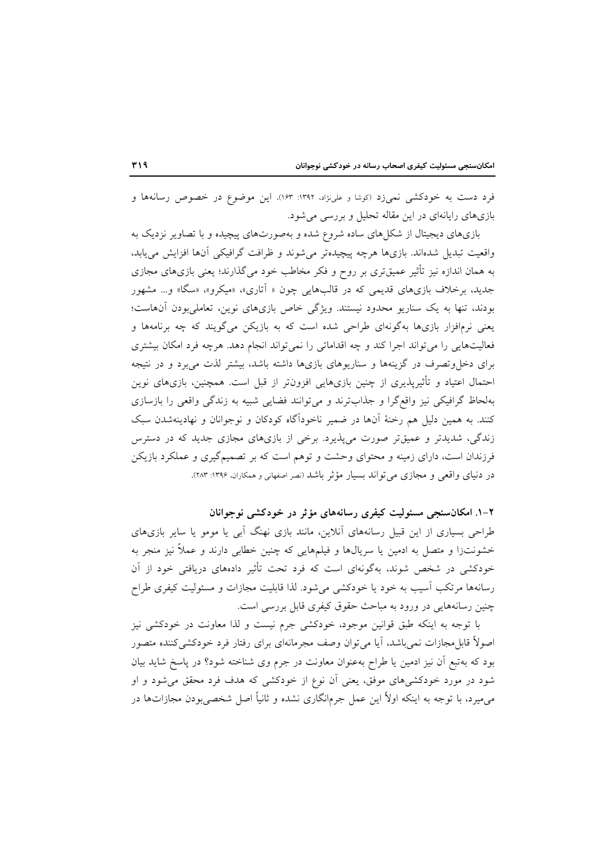فرد دست به خودکشی نمیزد (کوشا و علینژاد، ۱۳۹۲: ۱۶۳). این موضوع در خصوص رسانهها و بازیهای رایانهای در این مقاله تحلیل و بررسی میشود.

بازیهای دیجیتال از شکلهای ساده شروع شده و بهصورتهای پیچیده و با تصاویر نزدیک به واقعیت تبدیل شدهاند. بازیها هرچه پیچیدهتر میشوند و ظرافت گرافیکی آنها افزایش می یابد، به همان اندازه نیز تأثیر عمیقتری بر روح و فکر مخاطب خود میگذارند؛ یعنی بازیهای مجازی جدید، برخلاف بازیهای قدیمی که در قالبهایی چون « آتاری»، «میکرو»، «سگا» و... مشهور بودند، تنها به یک سناریو محدود نیستند. ویژگی خاص بازیهای نوین، تعاملی بودن آنهاست؛ یعنی نرمافزار بازیها بهگونهای طراحی شده است که به بازیکن میگویند که چه برنامهها و فعالیتهایی را می تواند اجرا کند و چه اقداماتی را نمی تواند انجام دهد. هرچه فرد امکان بیشتری برای دخل وتصرف در گزینهها و سناریوهای بازیها داشته باشد، بیشتر لذت می برد و در نتیجه احتمال اعتیاد و تأثیرپذیری از چنین بازیهایی افزون $تر از قبل است. همچنین، بازیهای نوین$ بهلحاظ گرافیکی نیز واقع گرا و جذابترند و می توانند فضایی شبیه به زندگی واقعی را بازسازی کنند. به همین دلیل هم رخنهٔ آنها در ضمیر ناخوداًگاه کودکان و نوجوانان و نهادینهشدن سبک زندگی، شدیدتر و عمیقتر صورت می پذیرد. برخی از بازیهای مجازی جدید که در دسترس فرزندان است، دارای زمینه و محتوای وحشت و توهم است که بر تصمیمگیری و عملکرد بازیکن در دنیای واقعی و مجازی می تواند بسیار مؤثر باشد (نصر اصفهانی و همکاران، ۱۳۹۶: ۲۸۳).

۲-۱. امکانسنجی مسئولیت کیفری رسانههای مؤثر در خودکشی نوجوانان

طراحی بسیاری از این قبیل رسانههای آنلاین، مانند بازی نهنگ آبی یا مومو یا سایر بازیهای خشونتزا و متصل به ادمین یا سریالها و فیلمهایی که چنین خطابی دارند و عملاً نیز منجر به خودکشی در شخص شوند، بهگونهای است که فرد تحت تأثیر دادههای دریافتی خود از آن رسانهها مرتکب اسیب به خود یا خودکشی میشود. لذا قابلیت مجازات و مسئولیت کیفری طراح چنین رسانههایی در ورود به مباحث حقوق کیفری قابل بررسی است.

با توجه به اینکه طبق قوانین موجود، خودکشی جرم نیست و لذا معاونت در خودکشی نیز اصولاً قابلِ مجازات نمی باشد، آیا می توان وصف مجرمانهای برای رفتار فرد خودکشی کننده متصور بود که بهتبع اَن نیز ادمین یا طراح بهعنوان معاونت در جرم وی شناخته شود؟ در پاسخ شاید بیان شود در مورد خودکشیهای موفق، یعنی آن نوع از خودکشی که هدف فرد محقق می شود و او می،میرد، با توجه به اینکه اولاً این عمل جرمانگاری نشده و ثانیاً اصل شخصی,بودن مجازاتها در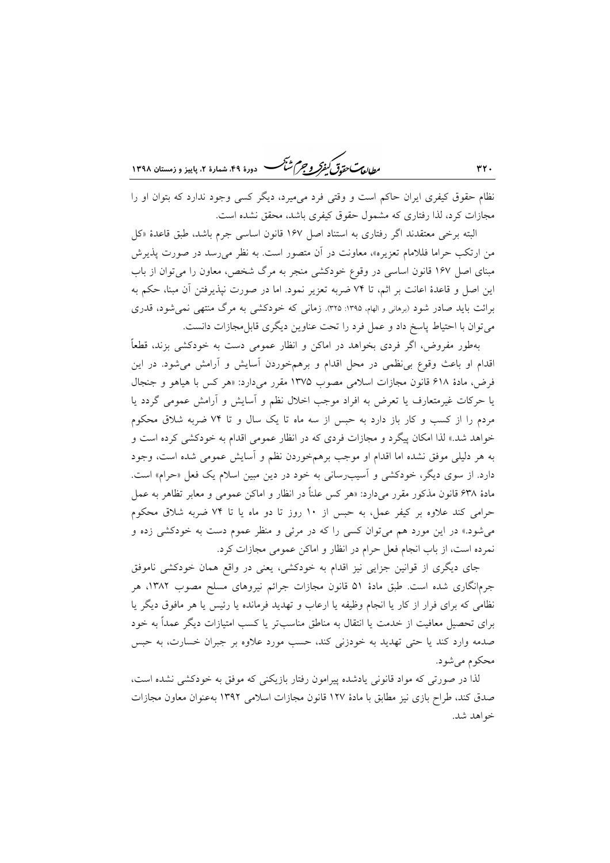ر .<br>مطالعات متحقق *کفوکر و جهم شنگ* دودهٔ ۴۹، شعارهٔ ۲، پاییز و زمستان ۱۳۹۸

نظام حقوق کیفری ایران حاکم است و وقتی فرد می میرد، دیگر کسی وجود ندارد که بتوان او را مجازات کرد، لذا رفتاری که مشمول حقوق کیفری باشد، محقق نشده است.

البته برخي معتقدند اگر رفتاري به استناد اصل ١۶٧ قانون اساسي جرم باشد، طبق قاعدهٔ «كل من ارتکب حراما فللامام تعزیره»، معاونت در اَن متصور است. به نظر می رسد در صورت پذیرش مبنای اصل ۱۶۷ قانون اساسی در وقوع خودکشی منجر به مرگ شخص، معاون را می توان از باب این اصل و قاعدهٔ اعانت بر اثم، تا ۷۴ ضربه تعزیر نمود. اما در صورت نیذیرفتن آن مبنا، حکم به برائت باید صادر شود (برهانی و الهام، ۱۳۹۵: ۳۲۵). زمانی که خودکشی به مرگ منتهی نمی شود، قدری می توان با احتیاط پاسخ داد و عمل فرد را تحت عناوین دیگری قابل مجازات دانست.

بهطور مفروض، اگر فردی بخواهد در اماکن و انظار عمومی دست به خودکشی بزند، قطعاً اقدام او باعث وقوع بی نظمی در محل اقدام و برهمخوردن آسایش و آرامش می شود. در این فرض، مادهٔ ۶۱۸ قانون مجازات اسلامی مصوب ۱۳۷۵ مقرر میدارد: «هر کس با هیاهو و جنجال یا حرکات غیرمتعارف یا تعرض به افراد موجب اخلال نظم و آسایش و آرامش عمومی گردد یا مردم را از کسب و کار باز دارد به حبس از سه ماه تا یک سال و تا ۷۴ ضربه شلاق محکوم خواهد شد.» لذا امکان پیگرد و مجازات فردی که در انظار عمومی اقدام به خودکشی کرده است و به هر دلیلی موفق نشده اما اقدام او موجب برهمخوردن نظم و آسایش عمومی شده است، وجود دارد. از سوی دیگر، خودکشی و آسیبرسانی به خود در دین مبین اسلام یک فعل «حرام» است. مادهٔ ۶۳۸ قانون مذکور مقرر میدارد: «هر کس علناً در انظار و اماکن عمومی و معابر تظاهر به عمل حرامی کند علاوه بر کیفر عمل، به حبس از ۱۰ روز تا دو ماه یا تا ۷۴ ضربه شلاق محکوم میشود.» در این مورد هم میتوان کسی را که در مرئی و منظر عموم دست به خودکشی زده و نمرده است، از باب انجام فعل حرام در انظار و اماکن عمومی مجازات کرد.

جای دیگری از قوانین جزایی نیز اقدام به خودکشی، یعنی در واقع همان خودکشی ناموفق جرمانگاری شده است. طبق مادهٔ ۵۱ قانون مجازات جرائم نیروهای مسلح مصوب ۱۳۸۲، هر نظامی که برای فرار از کار یا انجام وظیفه یا ارعاب و تهدید فرمانده یا رئیس یا هر مافوق دیگر یا برای تحصیل معافیت از خدمت یا انتقال به مناطق مناسبتر یا کسب امتیازات دیگر عمداً به خود صدمه وارد کند یا حتی تهدید به خودزنی کند، حسب مورد علاوه بر جبران خسارت، به حبس محکوم می شود.

لذا در صورتی که مواد قانونی یادشده پیرامون رفتار بازیکنی که موفق به خودکشی نشده است، صدق کند، طراح بازی نیز مطابق با مادهٔ ۱۲۷ قانون مجازات اسلامی ۱۳۹۲ بهعنوان معاون مجازات خواهد شد.

 $rr.$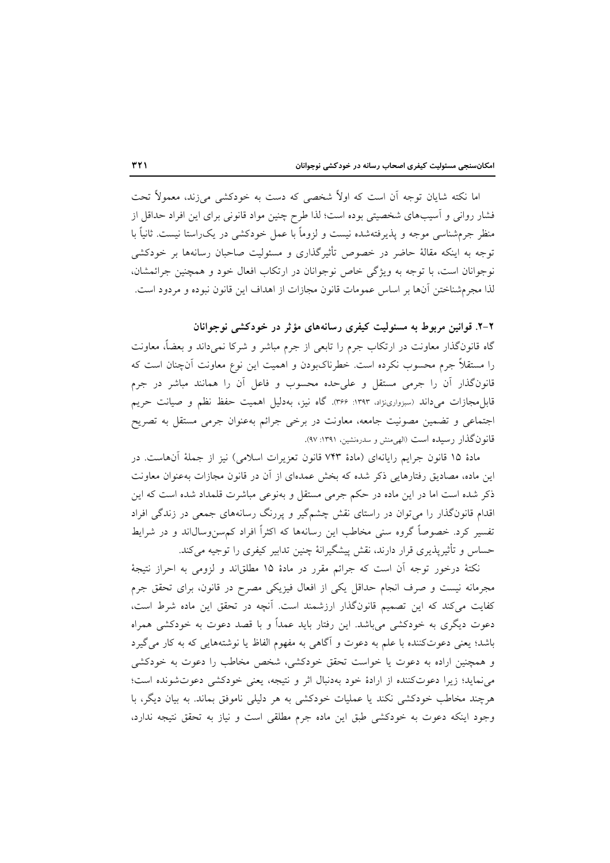اما نکته شایان توجه آن است که اولاً شخصی که دست به خودکشی میزند، معمولاً تحت فشار روانی و آسیبهای شخصیتی بوده است؛ لذا طرح چنین مواد قانونی برای این افراد حداقل از منظر جرمشناسی موجه و پذیرفتهشده نیست و لزوماً با عمل خودکشی در یک<code>راستا</code> نیست. ثانیاً با توجه به اینکه مقالهٔ حاضر در خصوص تأثیرگذاری و مسئولیت صاحبان رسانهها بر خودکشی نوجوانان است، با توجه به ویژگی خاص نوجوانان در ارتکاب افعال خود و همچنین جرائمشان، لذا مجر مشناختن آنها بر اساس عمومات قانون مجازات از اهداف این قانون نبوده و مردود است.

۲-۲. قوانین مربوط به مسئولیت کیفری رسانههای مؤثر در خودکشی نوجوانان

گاه قانونگذار معاونت در ارتکاب جرم را تابعی از جرم مباشر و شرکا نمی،داند و بعضاً، معاونت را مستقلاً جرم محسوب نکرده است. خطرناکبودن و اهمیت این نوع معاونت آنچنان است که قانونگذار أن را جرمی مستقل و علیحده محسوب و فاعل أن را همانند مباشر در جرم قابل، حجازات می داند (سبزوارینژاد، ۱۳۹۳: ۳۶۶). گاه نیز، بهدلیل اهمیت حفظ نظم و صیانت حریم اجتماعی و تضمین مصونیت جامعه، معاونت در برخی جرائم بهعنوان جرمی مستقل به تصریح قانون گذار رسیده است (الهی منش و سدرهنشین، ۱۳۹۱: ۹۷).

مادهٔ ۱۵ قانون جرایم رایانهای (مادهٔ ۷۴۳ قانون تعزیرات اسلامی) نیز از جملهٔ آنهاست. در این ماده، مصادیق رفتارهایی ذکر شده که بخش عمدهای از آن در قانون مجازات بهعنوان معاونت ذکر شده است اما در این ماده در حکم جرمی مستقل و بهنوعی مباشرت قلمداد شده است که این اقدام قانونگذار را می توان در راستای نقش چشمگیر و پررنگ رسانههای جمعی در زندگی افراد تفسیر کرد. خصوصاً گروه سنی مخاطب این رسانهها که اکثراً افراد کم سنوسال $اند و در شرایط$ حساس و تأثیرپذیری قرار دارند، نقش پیشگیرانهٔ چنین تدابیر کیفری را توجیه می کند.

نکتهٔ درخور توجه آن است که جرائم مقرر در مادهٔ ۱۵ مطلقاند و لزومی به احراز نتیجهٔ مجرمانه نیست و صرف انجام حداقل یکی از افعال فیزیکی مصرح در قانون، برای تحقق جرم کفایت می کند که این تصمیم قانونگذار ارزشمند است. آنچه در تحقق این ماده شرط است، دعوت دیگری به خودکشی میباشد. این رفتار باید عمداً و با قصد دعوت به خودکشی همراه باشد؛ یعنی دعوتکننده با علم به دعوت و آگاهی به مفهوم الفاظ یا نوشتههایی که به کار می گیرد و همچنین اراده به دعوت یا خواست تحقق خودکشی، شخص مخاطب را دعوت به خودکشی می نماید؛ زیرا دعوتکننده از ارادهٔ خود بهدنبال اثر و نتیجه، یعنی خودکشی دعوتشونده است؛ هرچند مخاطب خودکشی نکند یا عملیات خودکشی به هر دلیلی ناموفق بماند. به بیان دیگر، با وجود اینکه دعوت به خودکشی طبق این ماده جرم مطلقی است و نیاز به تحقق نتیجه ندارد،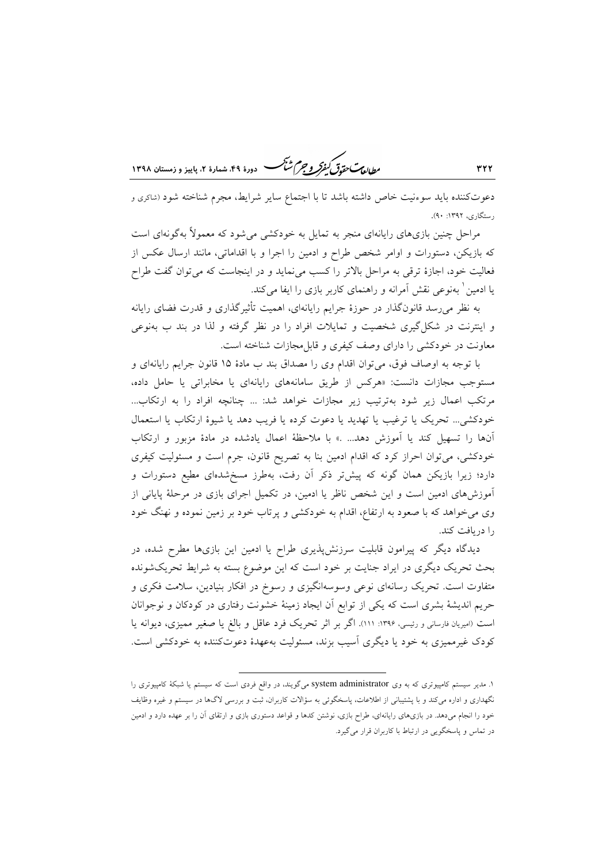مطالعات *متعاق کفوکر و جهم شنگ* دودهٔ ۴۹، شعارهٔ ۲، پاییز و ذمستان ۱۳۹۸

دعوتکننده باید سوءنیت خاص داشته باشد تا با اجتماع سایر شرایط، مجرم شناخته شود (شاکری و رستگاري، ١٣٩٢: ٩٠).

مراحل چنین بازیهای رایانهای منجر به تمایل به خودکشی می شود که معمولاً بهگونهای است که بازیکن، دستورات و اوامر شخص طراح و ادمین را اجرا و با اقداماتی، مانند ارسال عکس از فعالیت خود، اجازهٔ ترقی به مراحل بالاتر را کسب می نماید و در اینجاست که می توان گفت طراح یا ادمین ٰ بهنوعی نقش آمرانه و راهنمای کاربر بازی را ایفا می کند.

به نظر می رسد قانونگذار در حوزهٔ جرایم رایانهای، اهمیت تأثیرگذاری و قدرت فضای رایانه و اینترنت در شکل گیری شخصیت و تمایلات افراد را در نظر گرفته و لذا در بند ب بهنوعی معاونت در خودکشی را دارای وصف کیفری و قابل مجازات شناخته است.

با توجه به اوصاف فوق، مي توان اقدام وي را مصداق بند ب مادهٔ ۱۵ قانون جرايم رايانهاي و مستوجب مجازات دانست: «هركس از طريق سامانههاي رايانهاي يا مخابراتي يا حامل داده، مرتکب اعمال زیر شود بهترتیب زیر مجازات خواهد شد: … چنانچه افراد را به ارتکاب… خودکشی… تحریک یا ترغیب یا تهدید یا دعوت کرده یا فریب دهد یا شیوهٔ ارتکاب یا استعمال آنها را تسهیل کند یا آموزش دهد... .» با ملاحظهٔ اعمال یادشده در مادهٔ مزبور و ارتکاب خودکشی، می توان احراز کرد که اقدام ادمین بنا به تصریح قانون، جرم است و مسئولیت کیفری دارد؛ زیرا بازیکن همان گونه که پیشتر ذکر آن رفت، بهطرز مسخشدهای مطیع دستورات و آموزشهای ادمین است و این شخص ناظر یا ادمین، در تکمیل اجرای بازی در مرحلهٔ پایانی از وی می خواهد که با صعود به ارتفاع، اقدام به خودکشی و پرتاب خود بر زمین نموده و نهنگ خود را در بافت کند.

دیدگاه دیگر که پیرامون قابلیت سرزنشپذیری طراح یا ادمین این بازیها مطرح شده، در بحث تحریک دیگری در ایراد جنایت بر خود است که این موضوع بسته به شرایط تحریکشونده متفاوت است. تحریک رسانهای نوعی وسوسهانگیزی و رسوخ در افکار بنیادین، سلامت فکری و حریم اندیشهٔ بشری است که یکی از توابع آن ایجاد زمینهٔ خشونت رفتاری در کودکان و نوجوانان است (امیریان فارسانی و رئیسی، ۱۳۹۶: ۱۱۱). اگر بر آثر تحریک فرد عاقل و بالغ یا صغیر ممیزی، دیوانه یا کودک غیرممیزی به خود یا دیگری آسیب بزند، مسئولیت بهعهدهٔ دعوتکننده به خودکشی است.

۱. مدیر سیستم کامپیوتری که به وی system administrator میگویند، در واقع فردی است که سیستم یا شبکهٔ کامپیوتری را نگهداری و اداره میکند و با پشتیبانی از اطلاعات، پاسخگوئی به سؤالات کاربران، ثبت و بررسی لاگها در سیستم و غیره وظایف .<br>خود را انجام میدهد. در بازیهای رایانهای، طراح بازی، نوشتن کدها و قواعد دستوری بازی و ارتقای آن را بر عهده دارد و ادمین در تماس و پاسخگویی در ارتباط با کاربران قرار می گیرد.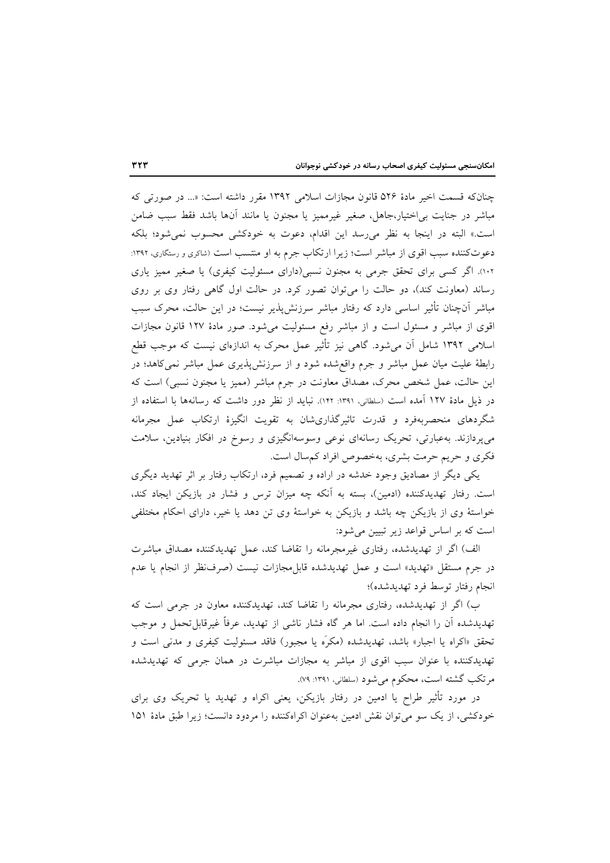چنانکه قسمت اخیر مادهٔ ۵۲۶ قانون مجازات اسلامی ۱۳۹۲ مقرر داشته است: «... در صورتی که مباشر در جنایت بی|ختیار،جاهل، صغیر غیرممیز یا مجنون یا مانند أنها باشد فقط سبب ضامن است.» البته در اینجا به نظر می رسد این اقدام، دعوت به خودکشی محسوب نمی شود؛ بلکه دعوتکننده سبب اقوی از مباشر است؛ زیرا ارتکاب جرم به او منتسب است (شاکری و رستگاری، ۱۳۹۲: ۱۰۲). اگر کسی برای تحقق جرمی به مجنون نسبی(دارای مسئولیت کیفری) یا صغیر ممیز یاری رساند (معاونت کند)، دو حالت را می توان تصور کرد. در حالت اول گاهی رفتار وی بر روی مباشر آنچنان تأثیر اساسی دارد که رفتار مباشر سرزنش،پذیر نیست؛ در این حالت، محرک سبب اقوی از مباشر و مسئول است و از مباشر رفع مسئولیت میشود. صور مادهٔ ۱۲۷ قانون مجازات اسلامی ۱۳۹۲ شامل آن می شود. گاهی نیز تأثیر عمل محرک به اندازهای نیست که موجب قطع رابطهٔ علیت میان عمل مباشر و جرم واقع شده شود و از سرزنش پذیری عمل مباشر نمی کاهد؛ در این حالت، عمل شخص محرک، مصداق معاونت در جرم مباشر (ممیز یا مجنون نسبی) است که در ذیل مادهٔ ۱۲۷ آمده است (سلطانی، ۱۳۹۱: ۱۴۲). نباید از نظر دور داشت که رسانهها با استفاده از شگردهای منحصربهفرد و قدرت تاثیرگذاریشان به تقویت انگیزهٔ ارتکاب عمل مجرمانه میپردازند. بهعبارتی، تحریک رسانهای نوعی وسوسهانگیزی و رسوخ در افکار بنیادین، سلامت فکری و حریم حرمت بشری، بهخصوص افراد کمسال است.

یکی دیگر از مصادیق وجود خدشه در اراده و تصمیم فرد، ارتکاب رفتار بر اثر تهدید دیگری است. رفتار تهدیدکننده (ادمین)، بسته به آنکه چه میزان ترس و فشار در بازیکن ایجاد کند، خواستهٔ وی از بازیکن چه باشد و بازیکن به خواستهٔ وی تن دهد یا خیر، دارای احکام مختلفی است که بر اساس قواعد زیر تبیین می شود:

الف) اگر از تهدیدشده، رفتاری غیرمجرمانه را تقاضا کند، عمل تهدیدکننده مصداق مباشرت در جرم مستقل «تهدید» است و عمل تهدیدشده قابل.مجازات نیست (صرفنظر از انجام یا عدم انجام رفتار توسط فرد تهديدشده)؛

ب) اگر از تهدیدشده، رفتاری مجرمانه را تقاضا کند، تهدیدکننده معاون در جرمی است که تهدیدشده آن را انجام داده است. اما هر گاه فشار ناشی از تهدید، عرفاً غیرقابل تحمل و موجب تحقق «اکراه یا اجبار» باشد، تهدیدشده (مکرّه یا مجبور) فاقد مسئولیت کیفری و مدنی است و تهدیدکننده با عنوان سبب اقوی از مباشر به مجازات مباشرت در همان جرمی که تهدیدشده مرتکب گشته است، محکوم می شود (سلطانی، ۱۳۹۱: ۷۹).

در مورد تأثیر طراح یا ادمین در رفتار بازیکن، یعنی اکراه و تهدید یا تحریک وی برای خودکشی، از یک سو می توان نقش ادمین بهعنوان اکراهکننده را مردود دانست؛ زیرا طبق مادهٔ ۱۵۱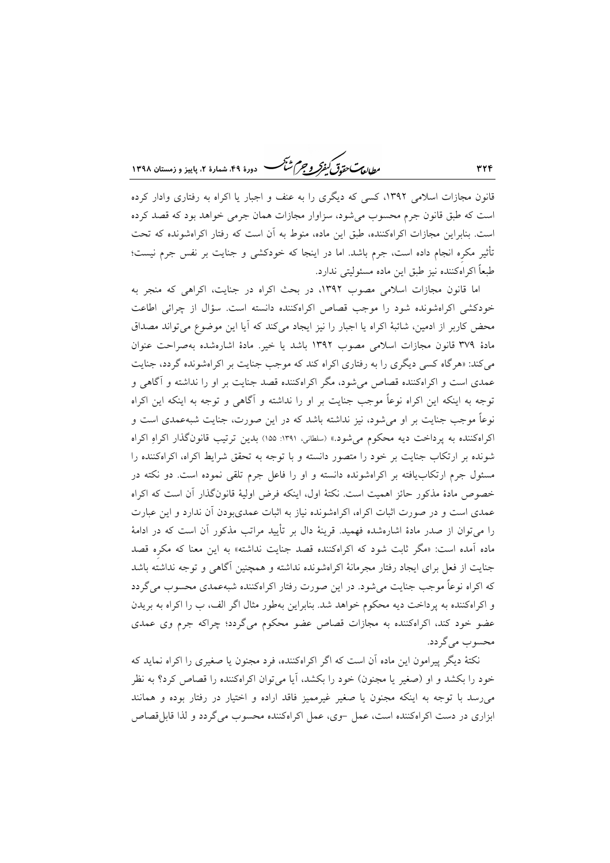بطابع تحقدق كنفركه وحجرم شأم - دورة ۴۹، شمارة ۲، بابیز و زمستان ۱۳۹۸

قانون مجازات اسلامی ۱۳۹۲، کسی که دیگری را به عنف و اجبار یا اکراه به رفتاری وادار کرده است که طبق قانون جرم محسوب میشود، سزاوار مجازات همان جرمی خواهد بود که قصد کرده است. بنابراین مجازات اکراهکننده، طبق این ماده، منوط به آن است که رفتار اکراهشونده که تحت تأثیر مکره انجام داده است، جرم باشد. اما در اینجا که خودکشی و جنایت بر نفس جرم نیست؛ طبعاً اكراهكننده نيز طبق اين ماده مسئوليتي ندارد.

اما قانون مجازات اسلامی مصوب ۱۳۹۲، در بحث اکراه در جنایت، اکراهی که منجر به خودکشی اکراهشونده شود را موجب قصاص اکراهکننده دانسته است. سؤال از چرائی اطاعت محض کاربر از ادمین، شائبهٔ اکراه یا اجبار را نیز ایجاد میکند که آیا این موضوع میتواند مصداق مادهٔ ۳۷۹ قانون مجازات اسلامی مصوب ۱۳۹۲ باشد یا خیر. مادهٔ اشارهشده بهصراحت عنوان می کند: «هرگاه کسی دیگری را به رفتاری اکراه کند که موجب جنایت بر اکراهشونده گردد، جنایت عمدی است و اکراهکننده قصاص می شود، مگر اکراهکننده قصد جنایت بر او را نداشته و آگاهی و توجه به اینکه این اکراه نوعاً موجب جنایت بر او را نداشته و آگاهی و توجه به اینکه این اکراه نوعاً موجب جنایت بر او میشود، نیز نداشته باشد که در این صورت، جنایت شبهعمدی است و اکراهکننده به پرداخت دیه محکوم میشود.» (سلطانی، ۱۳۹۱: ۱۵۵) بدین ترتیب قانونگذار اکراهِ اکراه شونده بر ارتکاب جنایت بر خود را متصور دانسته و با توجه به تحقق شرایط اکراه، اکراهکننده را مسئول جرم ارتکابیافته بر اکراهشونده دانسته و او را فاعل جرم تلقی نموده است. دو نکته در خصوص مادهٔ مذکور حائز اهمیت است. نکتهٔ اول، اینکه فرض اولیهٔ قانونگذار آن است که اکراه عمدی است و در صورت اثبات اکراه، اکراهشونده نیاز به اثبات عمدیبودن آن ندارد و این عبارت را می توان از صدر مادهٔ اشارهشده فهمید. قرینهٔ دال بر تأیید مراتب مذکور آن است که در ادامهٔ ماده آمده است: «مگر ثابت شود که اکراهکننده قصد جنایت نداشته» به این معنا که مکره قصد جنایت از فعل برای ایجاد رفتار مجرمانهٔ اکرامشونده نداشته و همچنین آگاهی و توجه نداشته باشد که اکراه نوعاً موجب جنایت می شود. در این صورت رفتار اکراهکننده شبهعمدی محسوب می گردد و اکراهکننده به پرداخت دیه محکوم خواهد شد. بنابراین بهطور مثال اگر الف، ب را اکراه به بریدن عضو خود کند، اگراهکننده به مجازات قصاص عضو محکوم میگردد؛ چراکه جرم وی عمدی محسو ب می گر دد.

نکتهٔ دیگر پیرامون این ماده آن است که اگر اکراهکننده، فرد مجنون یا صغیری را اکراه نماید که خود را بکشد و او (صغیر یا مجنون) خود را بکشد، آیا می توان اکراهکننده را قصاص کرد؟ به نظر می رسد با توجه به اینکه مجنون یا صغیر غیرممیز فاقد اراده و اختیار در رفتار بوده و همانند ابزاری در دست اکراهکننده است، عمل –وی، عمل اکراهکننده محسوب می گردد و لذا قابل قصاص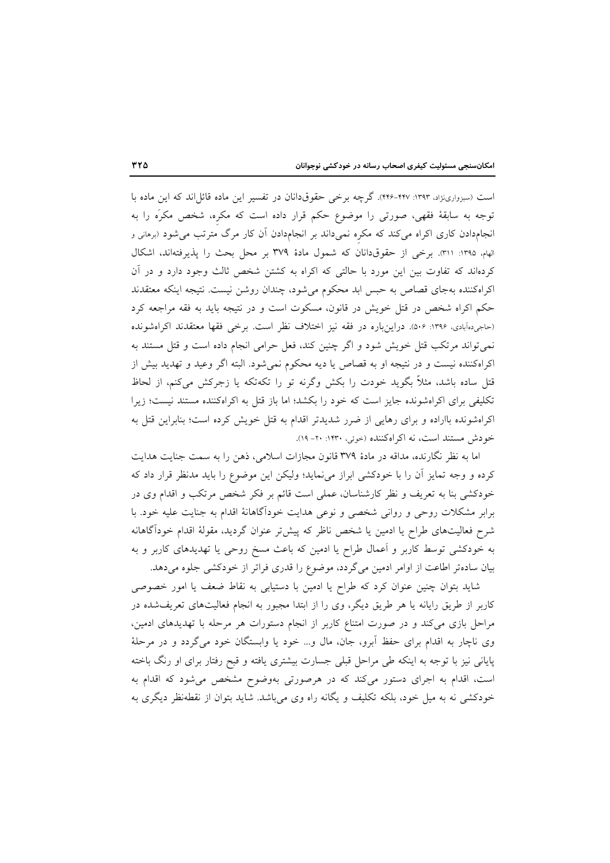است (سبزوارینژاد، ۱۳۹۳: ۴۴۷-۴۴۶). گرچه برخی حقوقدانان در تفسیر این ماده قائل اند که این ماده با توجه به سابقهٔ فقهی، صورتی را موضوع حکم قرار داده است که مکره، شخص مکرّه را به انجامدادن کاری اکراه میکند که مکره نمیداند بر انجامدادن آن کار مرگ مترتب میشود (برمانی و الهام، ١٣٩٥: ٣١١). برخي از حقوقدانان كه شمول مادة ٣٧٩ بر محل بحث را يذيرفتهاند، اشكال کردهاند که تفاوت بین این مورد با حالتی که اکراه به کشتن شخص ثالث وجود دارد و در آن اکراهکننده بهجای قصاص به حبس ابد محکوم می شود، چندان روشن نیست. نتیجه اینکه معتقدند حکم اکراه شخص در قتل خویش در قانون، مسکوت است و در نتیجه باید به فقه مراجعه کرد (حاجی دهآبادی، ۱۳۹۶: ۰۶٪). دراین باره در فقه نیز اختلاف نظر است. برخی فقها معتقدند اکراهشونده نمي تواند مرتكب قتل خويش شود و اگر چنين كند، فعل حرامي انجام داده است و قتل مستند به اکراهکننده نیست و در نتیجه او به قصاص یا دیه محکوم نمی شود. البته اگر وعید و تهدید بیش از قتل ساده باشد، مثلاً بگوید خودت را بکش وگرنه تو را تکهتکه یا زجرکش میکنم، از لحاظ تکلیفی برای اکراهشونده جایز است که خود را بکشد؛ اما باز قتل به اکراهکننده مستند نیست؛ زیرا اکراهشونده بااراده و برای رهایی از ضرر شدیدتر اقدام به قتل خویش کرده است؛ بنابراین قتل به خودش مستند است، نه اکراهکننده (خوئی، ۱۴۳۰: ۲۰- ۱۹).

اما به نظر نگارنده، مداقه در مادهٔ ۳۷۹ قانون مجازات اسلامی، ذهن را به سمت جنایت هدایت کرده و وجه تمایز أن را با خودکشی ابراز می $i$ ماید؛ ولیکن این موضوع را باید مدنظر قرار داد که خودکشی بنا به تعریف و نظر کارشناسان، عملی است قائم بر فکر شخص مرتکب و اقدام وی در برابر مشکلات روحی و روانی شخصی و نوعی هدایت خودآگاهانهٔ اقدام به جنایت علیه خود. با شرح فعالیتهای طراح یا ادمین یا شخص ناظر که پیش تر عنوان گردید، مقولهٔ اقدام خودآگاهانه به خودکشی توسط کاربر و اَعمال طراح یا ادمین که باعث مسخ روحی یا تهدیدهای کاربر و به بیان سادهتر اطاعت از اوامر ادمین میگردد، موضوع را قدری فراتر از خودکشی جلوه میدهد.

شاید بتوان چنین عنوان کرد که طراح یا ادمین با دستیابی به نقاط ضعف یا امور خصوصی کاربر از طریق رایانه یا هر طریق دیگر، وی را از ابتدا مجبور به انجام فعالیتهای تعریفشده در مراحل بازی میکند و در صورت امتناع کاربر از انجام دستورات هر مرحله با تهدیدهای ادمین، وی ناچار به اقدام برای حفظ آبرو، جان، مال و... خود یا وابستگان خود میگردد و در مرحلهٔ پایانی نیز با توجه به اینکه طی مراحل قبلی جسارت بیشتری یافته و قبح رفتار برای او رنگ باخته است، اقدام به اجرای دستور می کند که در هرصورتی بهوضوح مشخص می شود که اقدام به خودکشی نه به میل خود، بلکه تکلیف و یگانه راه وی می باشد. شاید بتوان از نقطهنظر دیگری به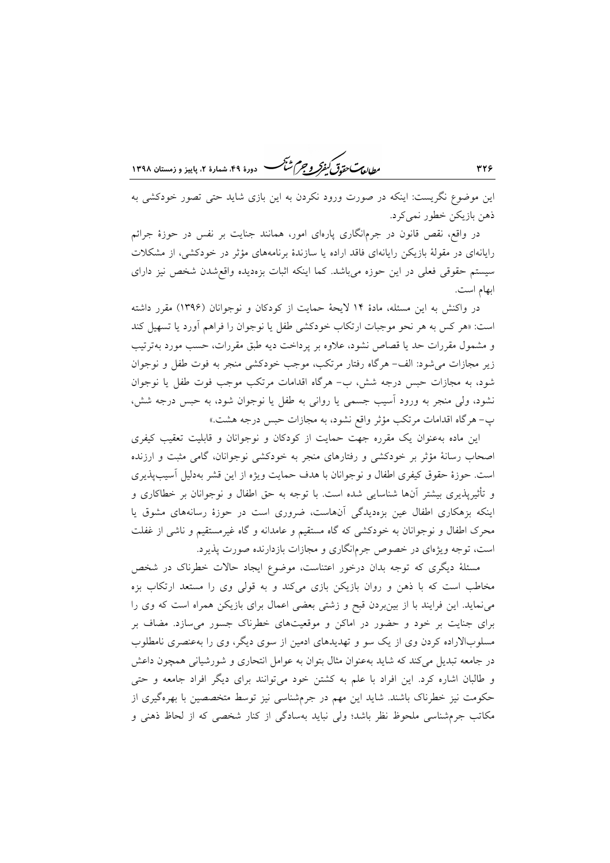ر ...<br>رولایات متحدق گفتروچم شنگ هودهٔ ۴۹، شعارهٔ ۲، پاییز و ذمستان ۱۳۹۸

این موضوع نگریست: اینکه در صورت ورود نکردن به این بازی شاید حتی تصور خودکشی به ذهن بازيكن خطور نمي كرد.

در واقع، نقص قانون در جرمانگاری پارهای امور، همانند جنایت بر نفس در حوزهٔ جرائم رایانهای در مقولهٔ بازیکن رایانهای فاقد اراده یا سازندهٔ برنامههای مؤثر در خودکشی، از مشکلات سیستم حقوقی فعلی در این حوزه میباشد. کما اینکه اثبات بزهدیده واقع شدن شخص نیز دارای ابهام است.

در واكنش به اين مسئله، مادهٔ ۱۴ لايحهٔ حمايت از كودكان و نوجوانان (۱۳۹۶) مقرر داشته است: «هر كس به هر نحو موجبات ارتكاب خودكشي طفل يا نوجوان را فراهم أورد يا تسهيل كند و مشمول مقررات حد یا قصاص نشود، علاوه بر پرداخت دیه طبق مقررات، حسب مورد بهترتیب زير مجازات مي شود: الف- هرگاه رفتار مرتكب، موجب خودكشي منجر به فوت طفل و نوجوان شود، به مجازات حبس درجه شش، ب- هرگاه اقدامات مرتکب موجب فوت طفل یا نوجوان نشود، ولی منجر به ورود اسیب جسمی یا روانی به طفل یا نوجوان شود، به حبس درجه شش، پ- هرگاه اقدامات مرتکب مؤثر واقع نشود، به مجازات حبس درجه هشت.»

این ماده بهعنوان یک مقرره جهت حمایت از کودکان و نوجوانان و قابلیت تعقیب کیفری اصحاب رسانهٔ مؤثر بر خودکشی و رفتارهای منجر به خودکشی نوجوانان، گامی مثبت و ارزنده است. حوزهٔ حقوق کیفری اطفال و نوجوانان با هدف حمایت ویژه از این قشر بهدلیل أسیبپذیری و تأثیرپذیری بیشتر آنها شناسایی شده است. با توجه به حق اطفال و نوجوانان بر خطاکاری و اینکه بزهکاری اطفال عین بزهدیدگی آنهاست، ضروری است در حوزهٔ رسانههای مشوق یا محرک اطفال و نوجوانان به خودکشی که گاه مستقیم و عامدانه و گاه غیرمستقیم و ناشی از غفلت است، توجه ویژهای در خصوص جرمانگاری و مجازات بازدارنده صورت پذیرد.

مسئلهٔ دیگری که توجه بدان درخور اعتناست، موضوع ایجاد حالات خطرناک در شخص مخاطب است که با ذهن و روان بازیکن بازی میکند و به قولی وی را مستعد ارتکاب بزه می نماید. این فرایند با از بین بردن قبح و زشتی بعضی اعمال برای بازیکن همراه است که وی را برای جنایت بر خود و حضور در اماکن و موقعیتهای خطرناک جسور می سازد. مضاف بر مسلوبالاراده کردن وی از یک سو و تهدیدهای ادمین از سوی دیگر، وی را بهعنصری نامطلوب در جامعه تبدیل می کند که شاید بهعنوان مثال بتوان به عوامل انتحاری و شورشیانی همچون داعش و طالبان اشاره کرد. این افراد با علم به کشتن خود می توانند برای دیگر افراد جامعه و حتی حکومت نیز خطرناک باشند. شاید این مهم در جرمشناسی نیز توسط متخصصین با بهرهگیری از مکاتب جرمشناسی ملحوظ نظر باشد؛ ولی نباید بهسادگی از کنار شخصی که از لحاظ ذهنی و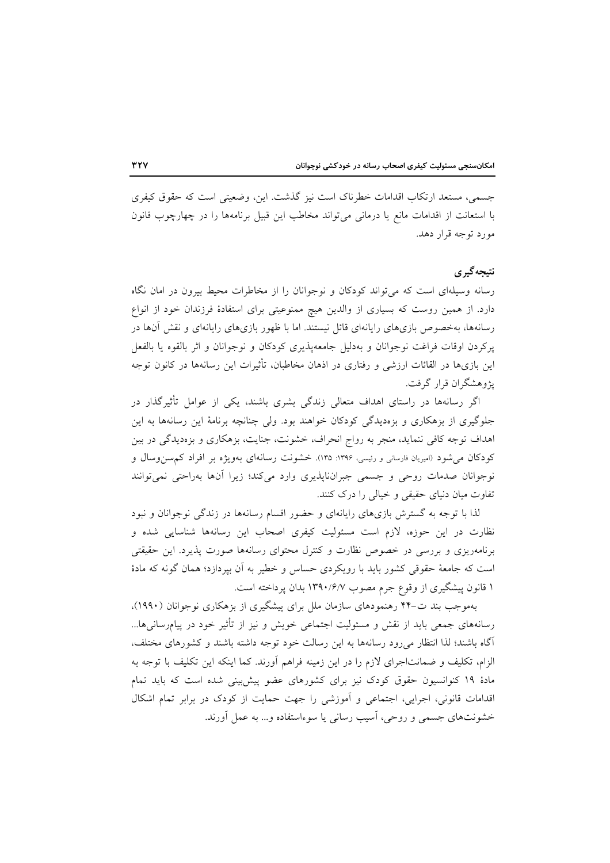جسمی، مستعد ارتکاب اقدامات خطرناک است نیز گذشت. این، وضعیتی است که حقوق کیفری با استعانت از اقدامات مانع یا درمانی می تواند مخاطب این قبیل برنامهها را در چهارچوب قانون مورد توجه قرار دهد.

#### نتبجه گېرې

رسانه وسیلهای است که می تواند کودکان و نوجوانان را از مخاطرات محیط بیرون در امان نگاه دارد. از همین روست که بسیاری از والدین هیچ ممنوعیتی برای استفادهٔ فرزندان خود از انواع رسانهها، بهخصوص بازیهای رایانهای قائل نیستند. اما با ظهور بازیهای رایانهای و نقش آنها در پرکردن اوقات فراغت نوجوانان و بهدلیل جامعهپذیری کودکان و نوجوانان و اثر بالقوه یا بالفعل این بازیها در القائات ارزشی و رفتاری در اذهان مخاطبان، تأثیرات این رسانهها در کانون توجه یژوهشگران قرار گرفت.

اگر رسانهها در راستای اهداف متعالی زندگی بشری باشند، یکی از عوامل تأثیرگذار در جلوگیری از بزهکاری و بزهدیدگی کودکان خواهند بود. ولی چنانچه برنامهٔ این رسانهها به این اهداف توجه کافی ننماید، منجر به رواج انحراف، خشونت، جنایت، بزهکاری و بزهدیدگی در بین کودکان می شود (امیریان فارسانی و رئیسی، ۱۳۹۶: ۱۳۵). خشونت رسانهای بهویژه بر افراد کم سن وسال و نوجوانان صدمات روحی و جسمی جبرانناپذیری وارد میکند؛ زیرا آنها بهراحتی نمی توانند تفاوت میان دنیای حقیقی و خیالی را درک کنند.

لذا با توجه به گسترش بازیهای رایانهای و حضور اقسام رسانهها در زندگی نوجوانان و نبود نظارت در این حوزه، لازم است مسئولیت کیفری اصحاب این رسانهها شناسایی شده و برنامهریزی و بررسی در خصوص نظارت و کنترل محتوای رسانهها صورت پذیرد. این حقیقتی است که جامعهٔ حقوقی کشور باید با رویکردی حساس و خطیر به آن بپردازد؛ همان گونه که مادهٔ ۱ قانون پیشگیری از وقوع جرم مصوب ۱۳۹۰/۶/۷ بدان پرداخته است.

بهموجب بند ت-۴۴ رهنمودهای سازمان ملل برای پیشگیری از بزهکاری نوجوانان (۱۹۹۰)، رسانههای جمعی باید از نقش و مسئولیت اجتماعی خویش و نیز از تأثیر خود در پیامرسانیها... آگاه باشند؛ لذا انتظار میرود رسانهها به این رسالت خود توجه داشته باشند و کشورهای مختلف، الزام، تكليف و ضمانتاجراي لازم را در اين زمينه فراهم أورند. كما اينكه اين تكليف با توجه به مادهٔ ۱۹ کنوانسیون حقوق کودک نیز برای کشورهای عضو پیش،بینی شده است که باید تمام اقدامات قانونی، اجرایی، اجتماعی و اَموزشی را جهت حمایت از کودک در برابر تمام اشکال خشونتهای جسمی و روحی، آسیب رسانی یا سوءاستفاده و… به عمل آورند.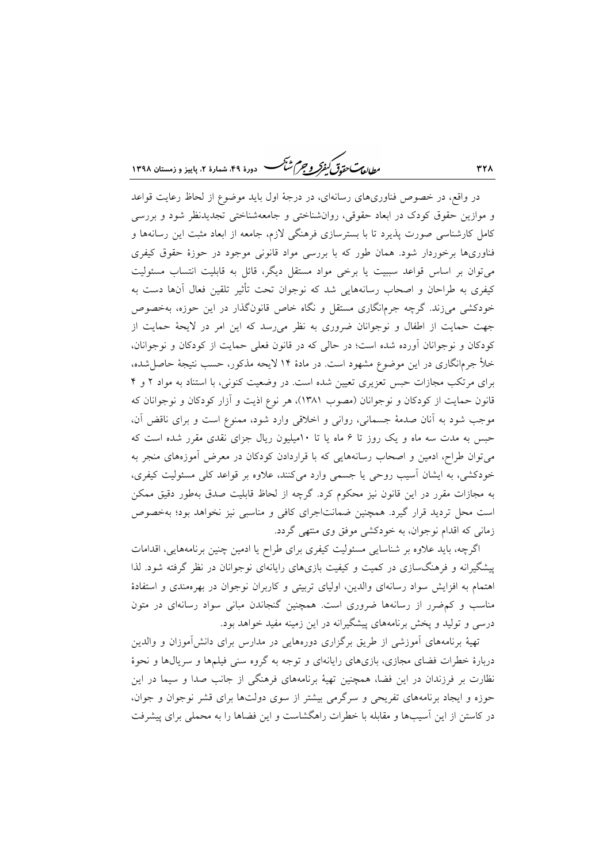ر<br>مطالعات متحقق *کفوکر و جرم شنگ* دورهٔ ۴۹، شعارهٔ ۲، پاییز و ذمستان ۱۳۹۸

در واقع، در خصوص فناوریهای رسانهای، در درجهٔ اول باید موضوع از لحاظ رعایت قواعد و موازین حقوق کودک در ابعاد حقوقی، روان شناختی و جامعهشناختی تجدیدنظر شود و بررسی کامل کارشناسی صورت پذیرد تا با بسترسازی فرهنگی لازم، جامعه از ابعاد مثبت این رسانهها و فناوریها برخوردار شود. همان طور که با بررسی مواد قانونی موجود در حوزهٔ حقوق کیفری می توان بر اساس قواعد سببیت یا برخی مواد مستقل دیگر، قائل به قابلیت انتساب مسئولیت کیفری به طراحان و اصحاب رسانههایی شد که نوجوان تحت تأثیر تلقین فعال آنها دست به خودکشی می زند. گرچه جرمانگاری مستقل و نگاه خاص قانونگذار در این حوزه، بهخصوص جهت حمایت از اطفال و نوجوانان ضروری به نظر می رسد که این امر در لایحهٔ حمایت از کودکان و نوجوانان آورده شده است؛ در حالی که در قانون فعلی حمایت از کودکان و نوجوانان، خلأ جرمانگاري در اين موضوع مشهود است. در مادهٔ ۱۴ لايحه مذكور، حسب نتيجهٔ حاصل شده، برای مرتکب مجازات حبس تعزیری تعیین شده است. در وضعیت کنونی، با استناد به مواد ۲ و ۴ قانون حمایت از کودکان و نوجوانان (مصوب ۱۳۸۱)، هر نوع اذیت و آزار کودکان و نوجوانان که موجب شود به آنان صدمهٔ جسمانی، روانی و اخلاقی وارد شود، ممنوع است و برای ناقض آن، حبس به مدت سه ماه و یک روز تا ۶ ماه یا تا ۱۰میلیون ریال جزای نقدی مقرر شده است که می توان طراح، ادمین و اصحاب رسانههایی که با قراردادن کودکان در معرض آموزههای منجر به خودکشی، به ایشان اسیب روحی یا جسمی وارد میکنند، علاوه بر قواعد کلی مسئولیت کیفری، به مجازات مقرر در این قانون نیز محکوم کرد. گرچه از لحاظ قابلیت صدق بهطور دقیق ممکن است محل تردید قرار گیرد. همچنین ضمانتاجرای کافی و مناسبی نیز نخواهد بود؛ بهخصوص زمانی که اقدام نوجوان، به خودکشی موفق وی منتهی گردد.

اگرچه، باید علاوه بر شناسایی مسئولیت کیفری برای طراح یا ادمین چنین برنامههایی، اقدامات پیشگیرانه و فرهنگسازی در کمیت و کیفیت بازیهای رایانهای نوجوانان در نظر گرفته شود. لذا اهتمام به افزایش سواد رسانهای والدین، اولیای تربیتی و کاربران نوجوان در بهرهمندی و استفادهٔ مناسب و کم ضرر از رسانهها ضروری است. همچنین گنجاندن مبانی سواد رسانهای در متون درسی و تولید و یخش برنامههای پیشگیرانه در این زمینه مفید خواهد بود.

تهیهٔ برنامههای اَموزشی از طریق برگزاری دورههایی در مدارس برای دانشآموزان و والدین دربارهٔ خطرات فضای مجازی، بازیهای رایانهای و توجه به گروه سنی فیلمها و سریالها و نحوهٔ نظارت بر فرزندان در این فضا، همچنین تهیهٔ برنامههای فرهنگی از جانب صدا و سیما در این حوزه و ایجاد برنامههای تفریحی و سرگرمی بیشتر از سوی دولتها برای قشر نوجوان و جوان، در کاستن از این آسیبها و مقابله با خطرات راهگشاست و این فضاها را به محملی برای پیشرفت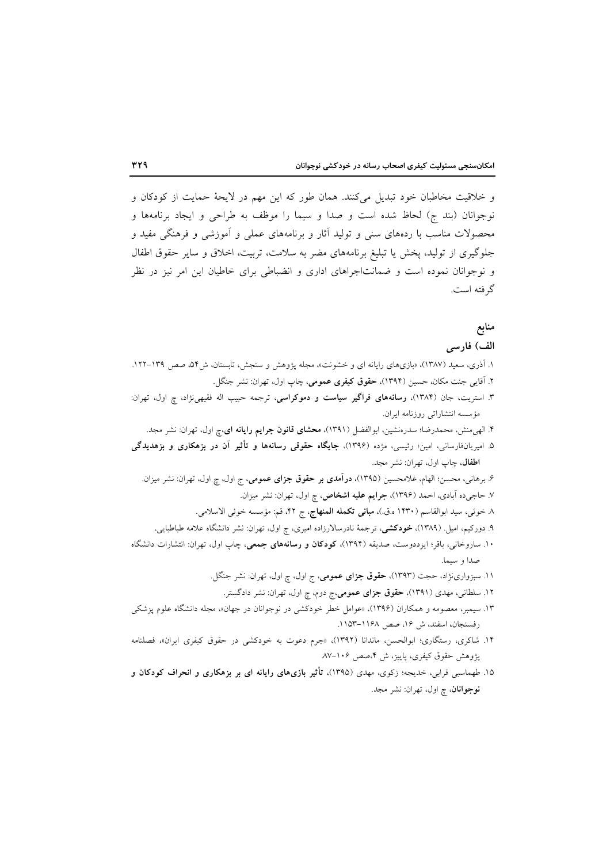و خلاقیت مخاطبان خود تبدیل می کنند. همان طور که این مهم در لایحهٔ حمایت از کودکان و نوجوانان (بند ج) لحاظ شده است و صدا و سیما را موظف به طراحی و ایجاد برنامهها و محصولات مناسب با ردههای سنی و تولید آثار و برنامههای عملی و آموزشی و فرهنگی مفید و جلوگیری از تولید، پخش یا تبلیغ برنامههای مضر به سلامت، تربیت، اخلاق و سایر حقوق اطفال و نوجوانان نموده است و ضمانتاجراهای اداری و انضباطی برای خاطیان این امر نیز در نظر گ فته است.

## منابع الف) فارسی

- ١. آذري، سعيد (١٣٨٧)، «بازيهاي رايانه اي و خشونت»، مجله يژوهش و سنجش، تابستان، ش ٥۴ صص ١٣٩-١٢٢. ۲. اَقایی جنت مکان، حسین (۱۳۹۴)، **حقوق کیفری عمومی**، چاپ اول، تهران: نشر جنگل.
- ۳. استریت، جان (۱۳۸۴)، **رسانههای فراگیر سیاست و دموکراسی**، ترجمه حبیب اله فقیهیiزاد، چ اول، تهران: مؤسسه انتشاراتى روزنامه ايران.
	- ۴. الهی منش، محمدرضا؛ سدرەنشین، ابوالفضل (۱۳۹۱)، محشای قانون جرایم رایانه ای،چ اول، تهران: نشر مجد.
- ۵. امیریانفارسانی، امین؛ رئیسی، مژده (۱۳۹۶)، جایگاه حقوقی رسانهها و تأثیر آن در بزهکاری و بزهدیدگی **اطفال،** چاپ اول، تهران: نشر مجد.
	- ۶. برهانی، محسن؛ الهام، غلامحسین (۱۳۹۵)، **درآمدی بر حقوق جزای عمومی**، ج اول، چ اول، تهران: نشر میزان.
		- ۷. حاجیده آبادی، احمد (۱۳۹۶)، **جرایم علیه اشخاص**، چ اول، تهران: نشر میزان.
		- ٨ خوئي، سيد ابوالقاسم (١۴٣٠ ه.ق.)، **مباني تكمله المنهاج**، ج ۴۲، قم: مؤسسه خوئي الاسلامي.
		- ۹. دورکیم، امیل (۱۳۸۹)، خودکشی، ترجمهٔ نادرسالارزاده امیری، چ اول، تهران: نشر دانشگاه علامه طباطبایی.
- ۱۰. ساروخانی، باقر؛ ایزددوست، صدیقه (۱۳۹۴)، کودکان و رسانههای جمعی، چاپ اول، تهران: انتشارات دانشگاه صدا و سیما.
	- ۱۱. سبزوارینژاد، حجت (۱۳۹۳)، **حقوق جزای عمومی**، ج اول، چ اول، تهران: نشر جنگل.
		- ۱۲. سلطانی، مهدی (۱۳۹۱)، حقوق جزای عمومی،ج دوم، چ اول، تهران: نشر دادگستر.
- ۱۳. سیمبر، معصومه و همکاران (۱۳۹۶)، «عوامل خطر خودکشی در نوجوانان در جهان»، مجله دانشگاه علوم پزشکی رفسنجان، اسفند، ش ۱۶، صص ۱۱۶۸–۱۱۵۳.
- ۱۴. شاکری، رستگاری؛ ابوالحسن، ماندانا (۱۳۹۲)، «جرم دعوت به خودکشی در حقوق کیفری ایران»، فصلنامه پژوهش حقوق کیفری، پاییز، ش ۴،صص ۱۰۶–۸۷
- ۱۵. طهماسبی قرابی، خدیجه؛ زکوی، مهدی (۱۳۹۵)، تأثیر بازیهای رایانه ای بر بزهکاری و انحراف کودکان و نوجوانان، چ اول، تهران: نشر مجد.